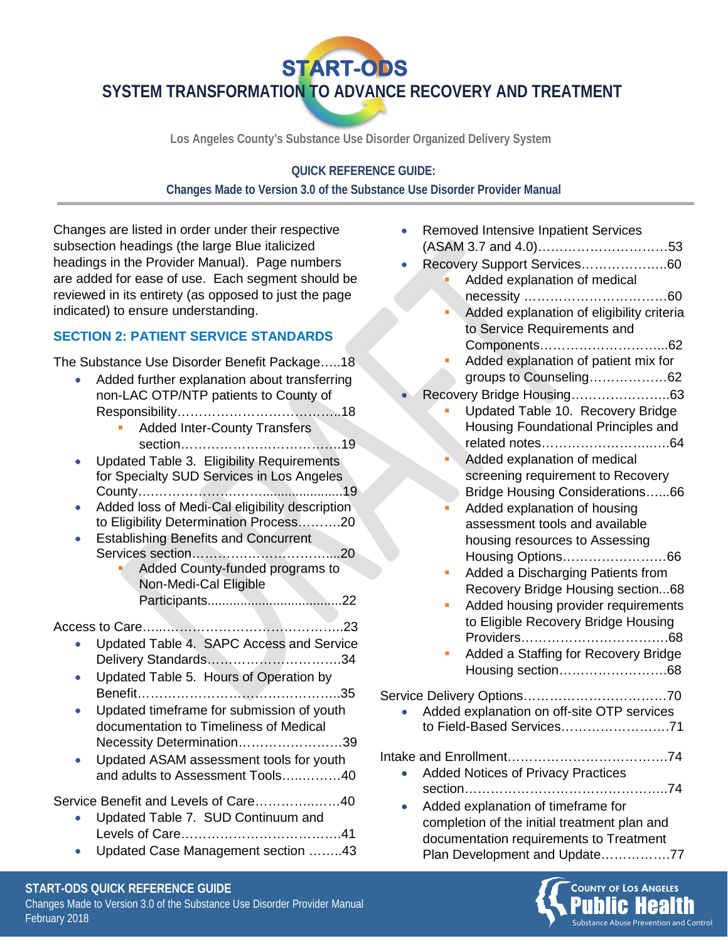**START-ODS** 

**SYSTEM TRANSFORMATION TO ADVANCE RECOVERY AND TREATMENT**

**Los Angeles County's Substance Use Disorder Organized Delivery System**

#### **QUICK REFERENCE GUIDE:**

#### **Changes Made to Version 3.0 of the Substance Use Disorder Provider Manual**

Changes are listed in order under their respective subsection headings (the large Blue italicized headings in the Provider Manual). Page numbers are added for ease of use. Each segment should be reviewed in its entirety (as opposed to just the page indicated) to ensure understanding.

## **SECTION 2: PATIENT SERVICE STANDARDS**

The Substance Use Disorder Benefit Package…..18

| Added further explanation about transferring   |
|------------------------------------------------|
| non-LAC OTP/NTP patients to County of          |
|                                                |
| <b>Added Inter-County Transfers</b>            |
|                                                |
| Updated Table 3. Eligibility Requirements      |
| for Specialty SUD Services in Los Angeles      |
| 19                                             |
| Added loss of Medi-Cal eligibility description |
| to Eligibility Determination Process20         |
| <b>Establishing Benefits and Concurrent</b>    |
| 20                                             |
| Added County-funded programs to                |
| Non-Medi-Cal Eligible                          |

Participants.....................................22

Access to Care…...…………………………………..23

- Updated Table 4. SAPC Access and Service Delivery Standards………………………….34
- Updated Table 5. Hours of Operation by Benefit………………………………………..35
- Updated timeframe for submission of youth documentation to Timeliness of Medical Necessity Determination……………………39
- Updated ASAM assessment tools for youth and adults to Assessment Tools…..………40

# Service Benefit and Levels of Care…………..……40

- Updated Table 7. SUD Continuum and Levels of Care……………………………….41
- Updated Case Management section ……..43

| <b>Removed Intensive Inpatient Services</b>                                                             |
|---------------------------------------------------------------------------------------------------------|
| Recovery Support Services60<br>Added explanation of medical                                             |
|                                                                                                         |
| Added explanation of eligibility criteria                                                               |
| to Service Requirements and                                                                             |
| Added explanation of patient mix for                                                                    |
| groups to Counseling62                                                                                  |
|                                                                                                         |
| Updated Table 10. Recovery Bridge                                                                       |
| Housing Foundational Principles and                                                                     |
|                                                                                                         |
| Added explanation of medical<br>screening requirement to Recovery                                       |
| Bridge Housing Considerations66                                                                         |
| Added explanation of housing                                                                            |
| assessment tools and available                                                                          |
| housing resources to Assessing                                                                          |
| Housing Options66                                                                                       |
| Added a Discharging Patients from                                                                       |
| Recovery Bridge Housing section68                                                                       |
| Added housing provider requirements<br>П                                                                |
| to Eligible Recovery Bridge Housing                                                                     |
| Added a Staffing for Recovery Bridge                                                                    |
| Housing section68                                                                                       |
|                                                                                                         |
| Added explanation on off-site OTP services                                                              |
| to Field-Based Services71                                                                               |
|                                                                                                         |
|                                                                                                         |
| <b>Added Notices of Privacy Practices</b>                                                               |
| section<br>. 74                                                                                         |
| Added explanation of timeframe for<br>a second activity of the authority of the active and in large and |

completion of the initial treatment plan and documentation requirements to Treatment Plan Development and Update…………….77



#### **START-ODS QUICK REFERENCE GUIDE**

Changes Made to Version 3.0 of the Substance Use Disorder Provider Manual February 2018 **Substance Abuse Prevention and Control** Control Control Control Control Control Control Control Control Control Control Control Control Control Control Control Control Control Control Control Control Control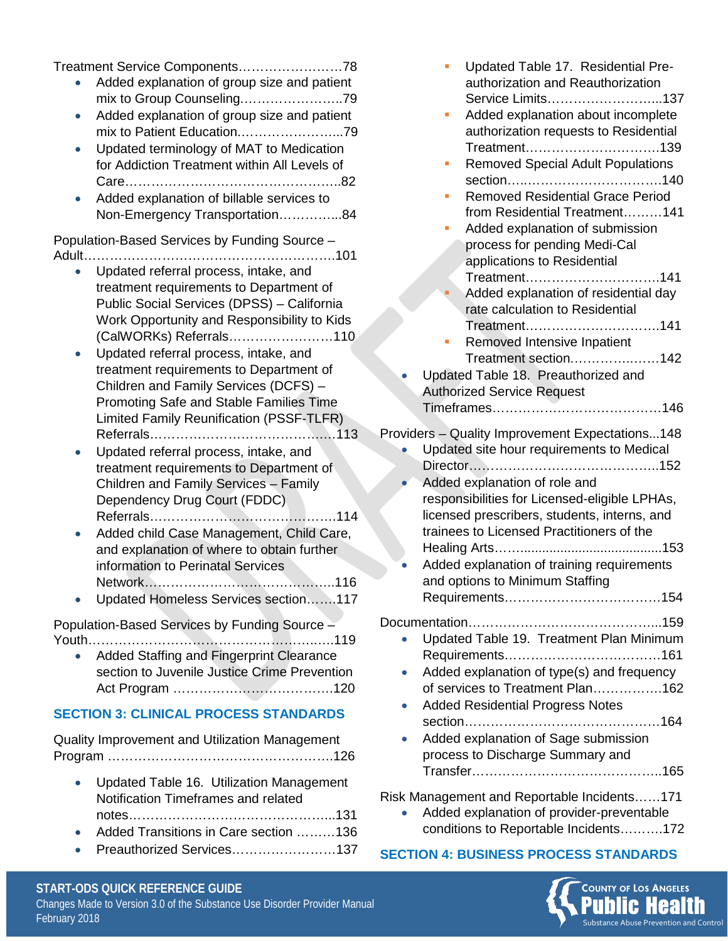Treatment Service Components……………………78

- Added explanation of group size and patient mix to Group Counseling.…………………..79
- Added explanation of group size and patient mix to Patient Education.…………………...79
- Updated terminology of MAT to Medication for Addiction Treatment within All Levels of Care…………………………………………..82
- Added explanation of billable services to Non-Emergency Transportation…………...84

Population-Based Services by Funding Source – Adult………………………………………………….101

- Updated referral process, intake, and treatment requirements to Department of Public Social Services (DPSS) – California Work Opportunity and Responsibility to Kids (CalWORKs) Referrals……………………110
- Updated referral process, intake, and treatment requirements to Department of Children and Family Services (DCFS) – Promoting Safe and Stable Families Time Limited Family Reunification (PSSF-TLFR) Referrals………………………………….…113
- Updated referral process, intake, and treatment requirements to Department of Children and Family Services – Family Dependency Drug Court (FDDC) Referrals…………………………………….114
- Added child Case Management, Child Care, and explanation of where to obtain further information to Perinatal Services Network……………………………………..116
- Updated Homeless Services section…….117

Population-Based Services by Funding Source – Youth……………………………………………..….119

• Added Staffing and Fingerprint Clearance section to Juvenile Justice Crime Prevention Act Program ……………………………….120

#### **SECTION 3: CLINICAL PROCESS STANDARDS**

Quality Improvement and Utilization Management Program …………………………………………….126

- Updated Table 16. Utilization Management Notification Timeframes and related notes………………………………………...131 • Added Transitions in Care section ………136
- Preauthorized Services……………………137

| Updated Table 17. Residential Pre-<br>authorization and Reauthorization<br>Service Limits137<br>Added explanation about incomplete<br>authorization requests to Residential<br>Treatment139<br><b>Removed Special Adult Populations</b><br><b>Removed Residential Grace Period</b><br>from Residential Treatment141<br>Added explanation of submission<br>process for pending Medi-Cal<br>applications to Residential<br>Treatment141<br>Added explanation of residential day<br>rate calculation to Residential<br>Treatment141<br>Removed Intensive Inpatient<br>Treatment section142<br>Updated Table 18. Preauthorized and<br><b>Authorized Service Request</b> |
|---------------------------------------------------------------------------------------------------------------------------------------------------------------------------------------------------------------------------------------------------------------------------------------------------------------------------------------------------------------------------------------------------------------------------------------------------------------------------------------------------------------------------------------------------------------------------------------------------------------------------------------------------------------------|
|                                                                                                                                                                                                                                                                                                                                                                                                                                                                                                                                                                                                                                                                     |
| Providers - Quality Improvement Expectations148<br>Updated site hour requirements to Medical                                                                                                                                                                                                                                                                                                                                                                                                                                                                                                                                                                        |
| Added explanation of role and                                                                                                                                                                                                                                                                                                                                                                                                                                                                                                                                                                                                                                       |
| responsibilities for Licensed-eligible LPHAs,<br>licensed prescribers, students, interns, and<br>trainees to Licensed Practitioners of the                                                                                                                                                                                                                                                                                                                                                                                                                                                                                                                          |
|                                                                                                                                                                                                                                                                                                                                                                                                                                                                                                                                                                                                                                                                     |
| Added explanation of training requirements<br>and options to Minimum Staffing                                                                                                                                                                                                                                                                                                                                                                                                                                                                                                                                                                                       |
| Updated Table 19. Treatment Plan Minimum<br>Added explanation of type(s) and frequency<br>of services to Treatment Plan162<br><b>Added Residential Progress Notes</b>                                                                                                                                                                                                                                                                                                                                                                                                                                                                                               |
|                                                                                                                                                                                                                                                                                                                                                                                                                                                                                                                                                                                                                                                                     |

- section………………………………………164 • Added explanation of Sage submission
- process to Discharge Summary and Transfer……………………………………..165

Risk Management and Reportable Incidents……171

• Added explanation of provider-preventable conditions to Reportable Incidents……….172

## **SECTION 4: BUSINESS PROCESS STANDARDS**



#### **START-ODS QUICK REFERENCE GUIDE**

Changes Made to Version 3.0 of the Substance Use Disorder Provider Manual February 2018 **Substance Abuse Prevention and Control** Control Control Control Control Control Control Control Control Control Control Control Control Control Control Control Control Control Control Control Control Control